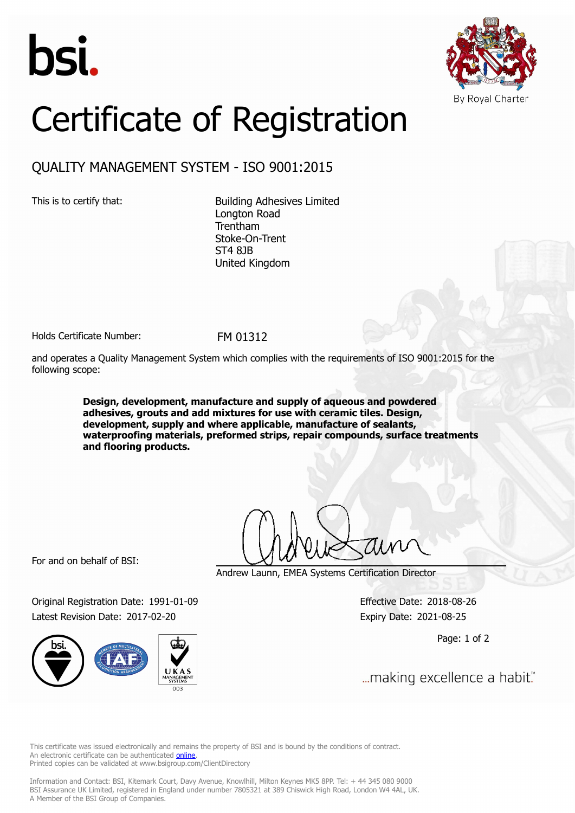



## Certificate of Registration

## QUALITY MANAGEMENT SYSTEM - ISO 9001:2015

This is to certify that: Building Adhesives Limited Longton Road Trentham Stoke-On-Trent ST4 8JB United Kingdom

Holds Certificate Number: FM 01312

and operates a Quality Management System which complies with the requirements of ISO 9001:2015 for the following scope:

> **Design, development, manufacture and supply of aqueous and powdered adhesives, grouts and add mixtures for use with ceramic tiles. Design, development, supply and where applicable, manufacture of sealants, waterproofing materials, preformed strips, repair compounds, surface treatments and flooring products.**

For and on behalf of BSI:

Andrew Launn, EMEA Systems Certification Director

Original Registration Date: 1991-01-09 Effective Date: 2018-08-26 Latest Revision Date: 2017-02-20 Expiry Date: 2021-08-25

Page: 1 of 2

... making excellence a habit."

This certificate was issued electronically and remains the property of BSI and is bound by the conditions of contract. An electronic certificate can be authenticated **[online](https://pgplus.bsigroup.com/CertificateValidation/CertificateValidator.aspx?CertificateNumber=FM+01312&ReIssueDate=20%2f02%2f2017&Template=uk)**. Printed copies can be validated at www.bsigroup.com/ClientDirectory

Information and Contact: BSI, Kitemark Court, Davy Avenue, Knowlhill, Milton Keynes MK5 8PP. Tel: + 44 345 080 9000 BSI Assurance UK Limited, registered in England under number 7805321 at 389 Chiswick High Road, London W4 4AL, UK. A Member of the BSI Group of Companies.